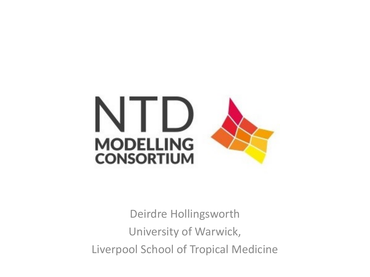

Deirdre Hollingsworth University of Warwick, Liverpool School of Tropical Medicine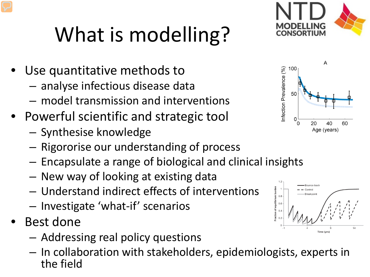## What is modelling?

- Use quantitative methods to
	- analyse infectious disease data
	- model transmission and interventions
- Powerful scientific and strategic tool
	- Synthesise knowledge
	- Rigororise our understanding of process
	- Encapsulate a range of biological and clinical insights
	- New way of looking at existing data
	- Understand indirect effects of interventions
	- Investigate 'what-if' scenarios
- Best done
	- Addressing real policy questions
	- In collaboration with stakeholders, epidemiologists, experts in the field



 $\Omega$  $\Omega$ 

20

Age (years)

60





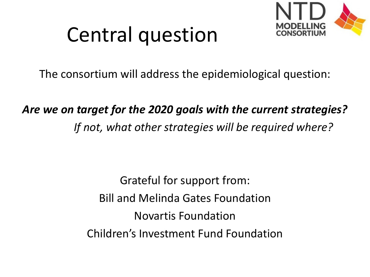

### Central question

The consortium will address the epidemiological question:

*Are we on target for the 2020 goals with the current strategies? If not, what other strategies will be required where?*

> Grateful for support from: Bill and Melinda Gates Foundation Novartis Foundation Children's Investment Fund Foundation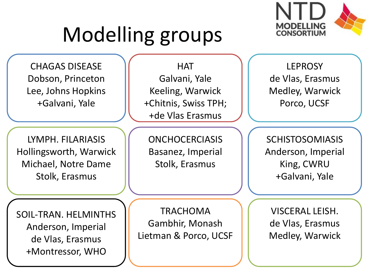

### Modelling groups

CHAGAS DISEASE Dobson, Princeton Lee, Johns Hopkins +Galvani, Yale

LYMPH. FILARIASIS Hollingsworth, Warwick Michael, Notre Dame Stolk, Erasmus

**HAT** Galvani, Yale Keeling, Warwick +Chitnis, Swiss TPH; +de Vlas Erasmus

**ONCHOCERCIASIS** Basanez, Imperial Stolk, Erasmus

LEPROSY de Vlas, Erasmus Medley, Warwick Porco, UCSF

**SCHISTOSOMIASIS** Anderson, Imperial King, CWRU +Galvani, Yale

SOIL-TRAN. HELMINTHS Anderson, Imperial de Vlas, Erasmus +Montressor, WHO

TRACHOMA Gambhir, Monash Lietman & Porco, UCSF

VISCERAL LEISH. de Vlas, Erasmus Medley, Warwick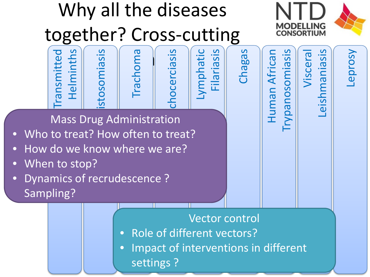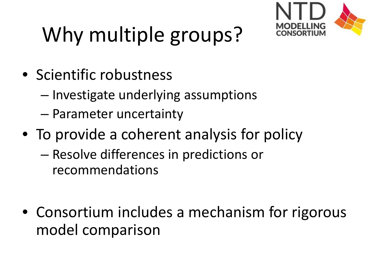

# Why multiple groups?

- Scientific robustness
	- Investigate underlying assumptions
	- Parameter uncertainty
- To provide a coherent analysis for policy
	- Resolve differences in predictions or recommendations
- Consortium includes a mechanism for rigorous model comparison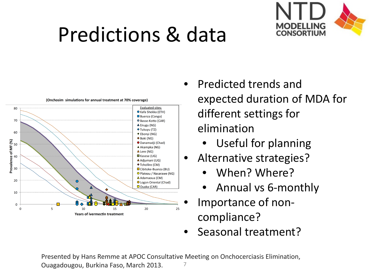#### Predictions & data





(Onchosim simulations for annual treatment at 70% coverage)

- Predicted trends and expected duration of MDA for different settings for elimination
	- Useful for planning
- Alternative strategies?
	- When? Where?
	- Annual vs 6-monthly
- Importance of noncompliance?
- Seasonal treatment?

Presented by Hans Remme at APOC Consultative Meeting on Onchocerciasis Elimination, Ouagadougou, Burkina Faso, March 2013.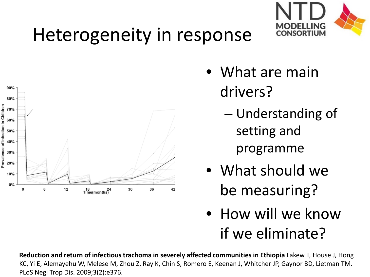#### Heterogeneity in response



- What are main drivers?
	- Understanding of setting and programme

MODELLING **CONSORTIUM** 

- What should we be measuring?
- How will we know if we eliminate?

**Reduction and return of infectious trachoma in severely affected communities in Ethiopia** Lakew T, House J, Hong KC, Yi E, Alemayehu W, Melese M, Zhou Z, Ray K, Chin S, Romero E, Keenan J, Whitcher JP, Gaynor BD, Lietman TM. PLoS Negl Trop Dis. 2009;3(2):e376.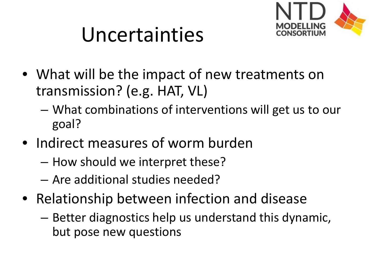

### Uncertainties

- What will be the impact of new treatments on transmission? (e.g. HAT, VL)
	- What combinations of interventions will get us to our goal?
- Indirect measures of worm burden
	- How should we interpret these?
	- Are additional studies needed?
- Relationship between infection and disease
	- Better diagnostics help us understand this dynamic, but pose new questions